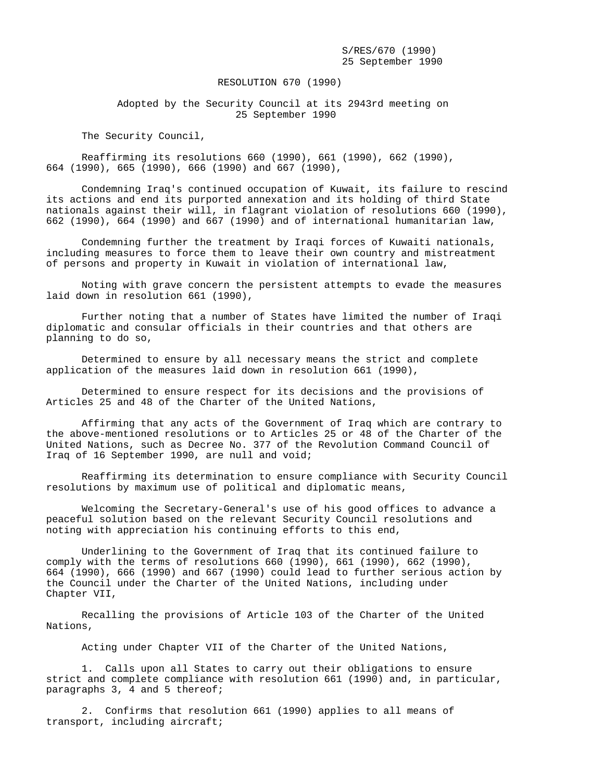S/RES/670 (1990) 25 September 1990

RESOLUTION 670 (1990)

 Adopted by the Security Council at its 2943rd meeting on 25 September 1990

The Security Council,

 Reaffirming its resolutions 660 (1990), 661 (1990), 662 (1990), 664 (1990), 665 (1990), 666 (1990) and 667 (1990),

 Condemning Iraq's continued occupation of Kuwait, its failure to rescind its actions and end its purported annexation and its holding of third State nationals against their will, in flagrant violation of resolutions 660 (1990), 662 (1990), 664 (1990) and 667 (1990) and of international humanitarian law,

 Condemning further the treatment by Iraqi forces of Kuwaiti nationals, including measures to force them to leave their own country and mistreatment of persons and property in Kuwait in violation of international law,

 Noting with grave concern the persistent attempts to evade the measures laid down in resolution 661 (1990),

 Further noting that a number of States have limited the number of Iraqi diplomatic and consular officials in their countries and that others are planning to do so,

 Determined to ensure by all necessary means the strict and complete application of the measures laid down in resolution 661 (1990),

 Determined to ensure respect for its decisions and the provisions of Articles 25 and 48 of the Charter of the United Nations,

 Affirming that any acts of the Government of Iraq which are contrary to the above-mentioned resolutions or to Articles 25 or 48 of the Charter of the United Nations, such as Decree No. 377 of the Revolution Command Council of Iraq of 16 September 1990, are null and void;

 Reaffirming its determination to ensure compliance with Security Council resolutions by maximum use of political and diplomatic means,

 Welcoming the Secretary-General's use of his good offices to advance a peaceful solution based on the relevant Security Council resolutions and noting with appreciation his continuing efforts to this end,

 Underlining to the Government of Iraq that its continued failure to comply with the terms of resolutions 660 (1990), 661 (1990), 662 (1990), 664 (1990), 666 (1990) and 667 (1990) could lead to further serious action by the Council under the Charter of the United Nations, including under Chapter VII,

 Recalling the provisions of Article 103 of the Charter of the United Nations,

Acting under Chapter VII of the Charter of the United Nations,

 1. Calls upon all States to carry out their obligations to ensure strict and complete compliance with resolution 661 (1990) and, in particular, paragraphs 3, 4 and 5 thereof;

 2. Confirms that resolution 661 (1990) applies to all means of transport, including aircraft;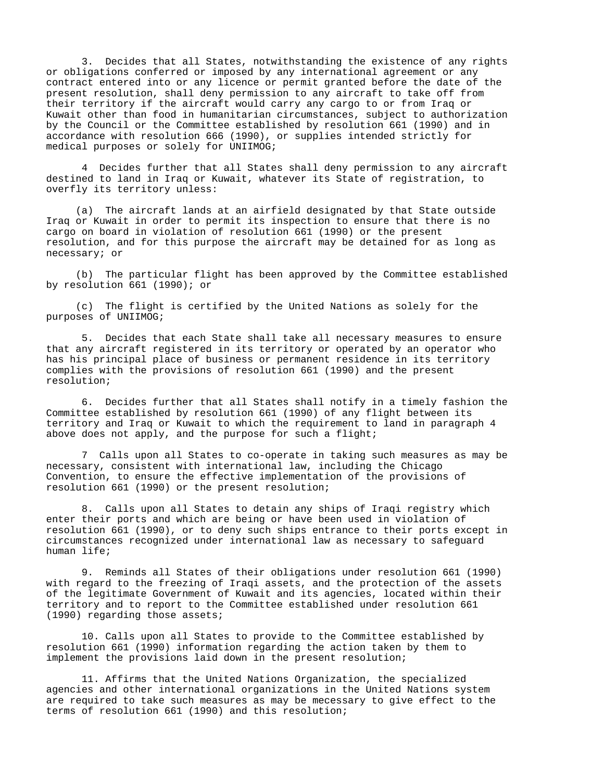3. Decides that all States, notwithstanding the existence of any rights or obligations conferred or imposed by any international agreement or any contract entered into or any licence or permit granted before the date of the present resolution, shall deny permission to any aircraft to take off from their territory if the aircraft would carry any cargo to or from Iraq or Kuwait other than food in humanitarian circumstances, subject to authorization by the Council or the Committee established by resolution 661 (1990) and in accordance with resolution 666 (1990), or supplies intended strictly for medical purposes or solely for UNIIMOG;

 4 Decides further that all States shall deny permission to any aircraft destined to land in Iraq or Kuwait, whatever its State of registration, to overfly its territory unless:

 (a) The aircraft lands at an airfield designated by that State outside Iraq or Kuwait in order to permit its inspection to ensure that there is no cargo on board in violation of resolution 661 (1990) or the present resolution, and for this purpose the aircraft may be detained for as long as necessary; or

 (b) The particular flight has been approved by the Committee established by resolution 661 (1990); or

 (c) The flight is certified by the United Nations as solely for the purposes of UNIIMOG;

 5. Decides that each State shall take all necessary measures to ensure that any aircraft registered in its territory or operated by an operator who has his principal place of business or permanent residence in its territory complies with the provisions of resolution 661 (1990) and the present resolution;

 6. Decides further that all States shall notify in a timely fashion the Committee established by resolution 661 (1990) of any flight between its territory and Iraq or Kuwait to which the requirement to land in paragraph 4 above does not apply, and the purpose for such a flight;

 7 Calls upon all States to co-operate in taking such measures as may be necessary, consistent with international law, including the Chicago Convention, to ensure the effective implementation of the provisions of resolution 661 (1990) or the present resolution;

 8. Calls upon all States to detain any ships of Iraqi registry which enter their ports and which are being or have been used in violation of resolution 661 (1990), or to deny such ships entrance to their ports except in circumstances recognized under international law as necessary to safeguard human life;

 9. Reminds all States of their obligations under resolution 661 (1990) with regard to the freezing of Iraqi assets, and the protection of the assets of the legitimate Government of Kuwait and its agencies, located within their territory and to report to the Committee established under resolution 661 (1990) regarding those assets;

 10. Calls upon all States to provide to the Committee established by resolution 661 (1990) information regarding the action taken by them to implement the provisions laid down in the present resolution;

 11. Affirms that the United Nations Organization, the specialized agencies and other international organizations in the United Nations system are required to take such measures as may be mecessary to give effect to the terms of resolution 661 (1990) and this resolution;